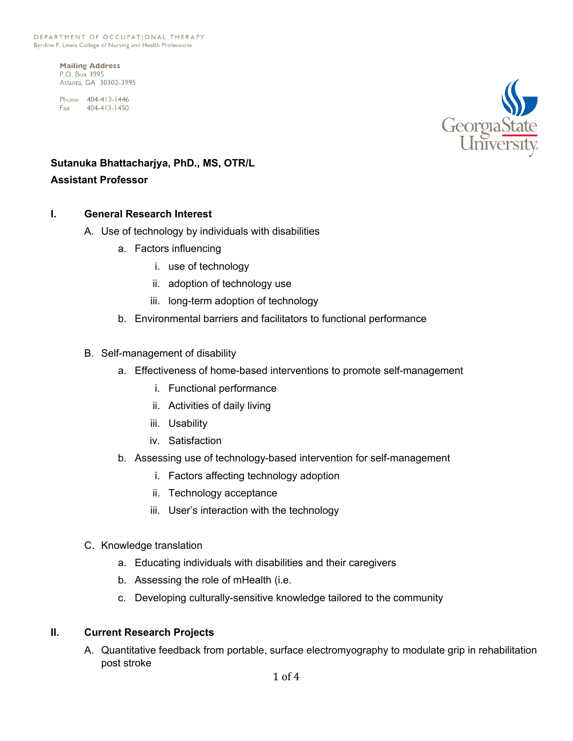**Mailing Address** P.O. Box 3995 Atlanta, GA 30302-3995

Phone 404-413-1446 Fax 404-413-1450



## **Sutanuka Bhattacharjya, PhD., MS, OTR/L Assistant Professor**

## **I. General Research Interest**

- A. Use of technology by individuals with disabilities
	- a. Factors influencing
		- i. use of technology
		- ii. adoption of technology use
		- iii. long-term adoption of technology
	- b. Environmental barriers and facilitators to functional performance
- B. Self-management of disability
	- a. Effectiveness of home-based interventions to promote self-management
		- i. Functional performance
		- ii. Activities of daily living
		- iii. Usability
		- iv. Satisfaction
	- b. Assessing use of technology-based intervention for self-management
		- i. Factors affecting technology adoption
		- ii. Technology acceptance
		- iii. User's interaction with the technology
- C. Knowledge translation
	- a. Educating individuals with disabilities and their caregivers
	- b. Assessing the role of mHealth (i.e.
	- c. Developing culturally-sensitive knowledge tailored to the community

## **II. Current Research Projects**

A. Quantitative feedback from portable, surface electromyography to modulate grip in rehabilitation post stroke